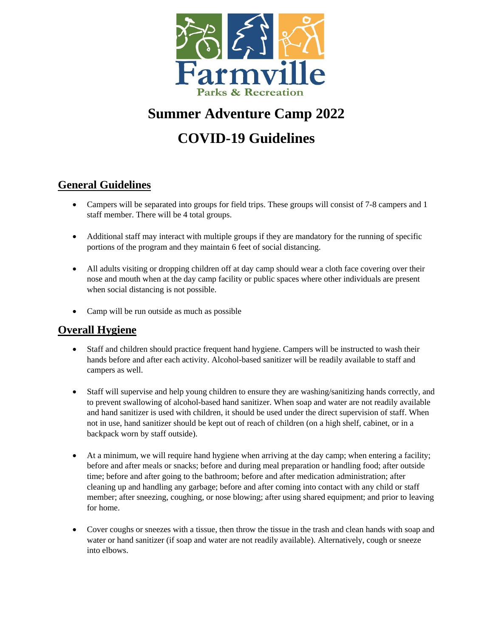

# **Summer Adventure Camp 2022**

# **COVID-19 Guidelines**

# **General Guidelines**

- Campers will be separated into groups for field trips. These groups will consist of 7-8 campers and 1 staff member. There will be 4 total groups.
- Additional staff may interact with multiple groups if they are mandatory for the running of specific portions of the program and they maintain 6 feet of social distancing.
- All adults visiting or dropping children off at day camp should wear a cloth face covering over their nose and mouth when at the day camp facility or public spaces where other individuals are present when social distancing is not possible.
- Camp will be run outside as much as possible

### **Overall Hygiene**

- Staff and children should practice frequent hand hygiene. Campers will be instructed to wash their hands before and after each activity. Alcohol-based sanitizer will be readily available to staff and campers as well.
- Staff will supervise and help young children to ensure they are washing/sanitizing hands correctly, and to prevent swallowing of alcohol-based hand sanitizer. When soap and water are not readily available and hand sanitizer is used with children, it should be used under the direct supervision of staff. When not in use, hand sanitizer should be kept out of reach of children (on a high shelf, cabinet, or in a backpack worn by staff outside).
- At a minimum, we will require hand hygiene when arriving at the day camp; when entering a facility; before and after meals or snacks; before and during meal preparation or handling food; after outside time; before and after going to the bathroom; before and after medication administration; after cleaning up and handling any garbage; before and after coming into contact with any child or staff member; after sneezing, coughing, or nose blowing; after using shared equipment; and prior to leaving for home.
- Cover coughs or sneezes with a tissue, then throw the tissue in the trash and clean hands with soap and water or hand sanitizer (if soap and water are not readily available). Alternatively, cough or sneeze into elbows.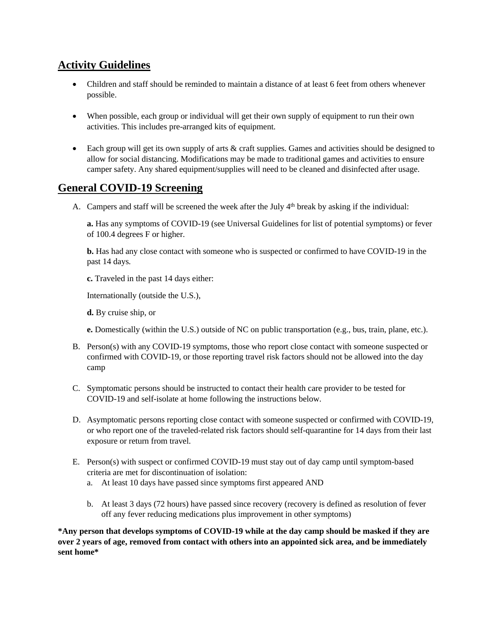## **Activity Guidelines**

- Children and staff should be reminded to maintain a distance of at least 6 feet from others whenever possible.
- When possible, each group or individual will get their own supply of equipment to run their own activities. This includes pre-arranged kits of equipment.
- Each group will get its own supply of arts & craft supplies. Games and activities should be designed to allow for social distancing. Modifications may be made to traditional games and activities to ensure camper safety. Any shared equipment/supplies will need to be cleaned and disinfected after usage.

### **General COVID-19 Screening**

A. Campers and staff will be screened the week after the July 4<sup>th</sup> break by asking if the individual:

**a.** Has any symptoms of COVID-19 (see Universal Guidelines for list of potential symptoms) or fever of 100.4 degrees F or higher.

**b.** Has had any close contact with someone who is suspected or confirmed to have COVID-19 in the past 14 days.

**c.** Traveled in the past 14 days either:

Internationally (outside the U.S.),

**d.** By cruise ship, or

**e.** Domestically (within the U.S.) outside of NC on public transportation (e.g., bus, train, plane, etc.).

- B. Person(s) with any COVID-19 symptoms, those who report close contact with someone suspected or confirmed with COVID-19, or those reporting travel risk factors should not be allowed into the day camp
- C. Symptomatic persons should be instructed to contact their health care provider to be tested for COVID-19 and self-isolate at home following the instructions below.
- D. Asymptomatic persons reporting close contact with someone suspected or confirmed with COVID-19, or who report one of the traveled-related risk factors should self-quarantine for 14 days from their last exposure or return from travel.
- E. Person(s) with suspect or confirmed COVID-19 must stay out of day camp until symptom-based criteria are met for discontinuation of isolation:
	- a. At least 10 days have passed since symptoms first appeared AND
	- b. At least 3 days (72 hours) have passed since recovery (recovery is defined as resolution of fever off any fever reducing medications plus improvement in other symptoms)

**\*Any person that develops symptoms of COVID-19 while at the day camp should be masked if they are** over 2 years of age, removed from contact with others into an appointed sick area, and be immediately **sent home\***